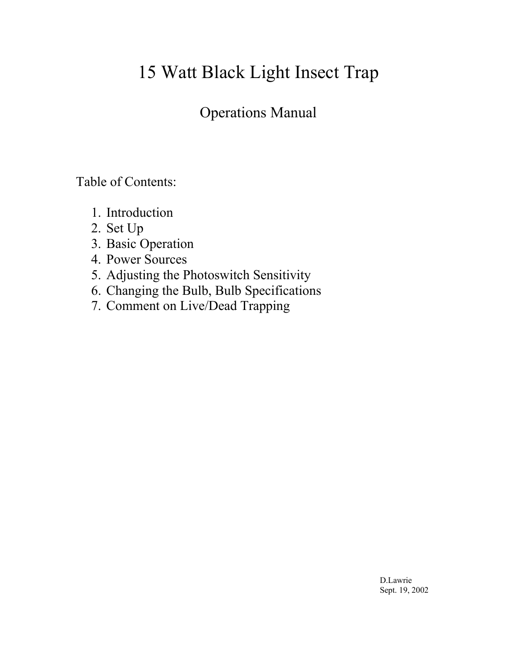# 15 Watt Black Light Insect Trap

## Operations Manual

Table of Contents:

- 1. Introduction
- 2. Set Up
- 3. Basic Operation
- 4. Power Sources
- 5. Adjusting the Photoswitch Sensitivity
- 6. Changing the Bulb, Bulb Specifications
- 7. Comment on Live/Dead Trapping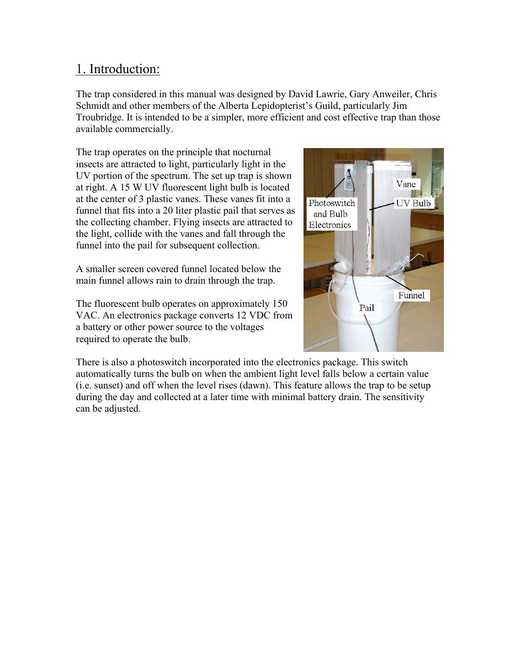#### 1. Introduction:

The trap considered in this manual was designed by David Lawrie, Gary Anweiler, Chris Schmidt and other members of the Alberta Lepidopterist's Guild, particularly Jim Troubridge. It is intended to be a simpler, more efficient and cost effective trap than those available commercially.

The trap operates on the principle that nocturnal insects are attracted to light, particularly light in the UV portion of the spectrum. The set up trap is shown at right. A 15 W UV fluorescent light bulb is located at the center of 3 plastic vanes. These vanes fit into a funnel that fits into a 20 liter plastic pail that serves as the collecting chamber. Flying insects are attracted to the light, collide with the vanes and fall through the funnel into the pail for subsequent collection.

A smaller screen covered funnel located below the main funnel allows rain to drain through the trap.

The fluorescent bulb operates on approximately 150 VAC. An electronics package converts 12 VDC from a battery or other power source to the voltages required to operate the bulb.



There is also a photoswitch incorporated into the electronics package. This switch automatically turns the bulb on when the ambient light level falls below a certain value (i.e. sunset) and off when the level rises (dawn). This feature allows the trap to be setup during the day and collected at a later time with minimal battery drain. The sensitivity can be adjusted.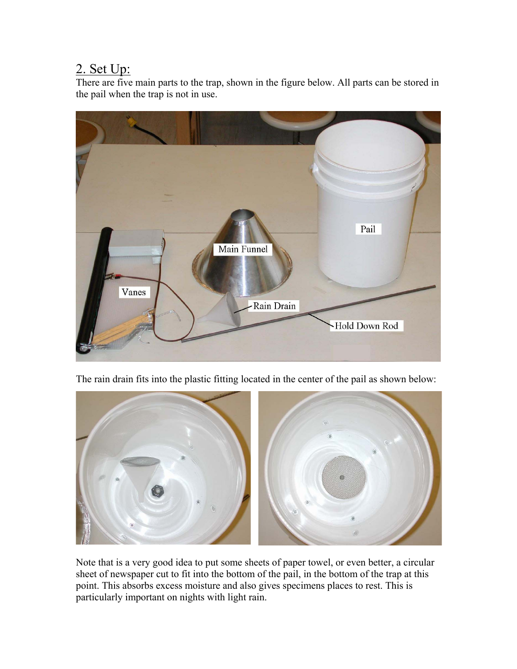## 2. Set Up:

There are five main parts to the trap, shown in the figure below. All parts can be stored in the pail when the trap is not in use.



The rain drain fits into the plastic fitting located in the center of the pail as shown below:



Note that is a very good idea to put some sheets of paper towel, or even better, a circular sheet of newspaper cut to fit into the bottom of the pail, in the bottom of the trap at this point. This absorbs excess moisture and also gives specimens places to rest. This is particularly important on nights with light rain.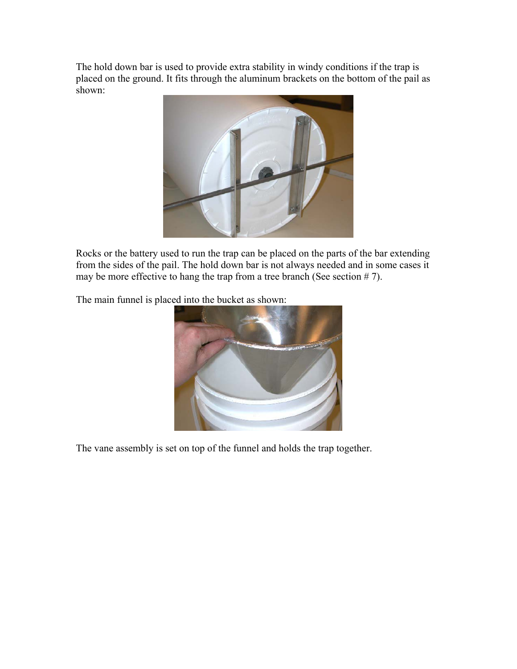The hold down bar is used to provide extra stability in windy conditions if the trap is placed on the ground. It fits through the aluminum brackets on the bottom of the pail as shown:



Rocks or the battery used to run the trap can be placed on the parts of the bar extending from the sides of the pail. The hold down bar is not always needed and in some cases it may be more effective to hang the trap from a tree branch (See section  $# 7$ ).

The main funnel is placed into the bucket as shown:



The vane assembly is set on top of the funnel and holds the trap together.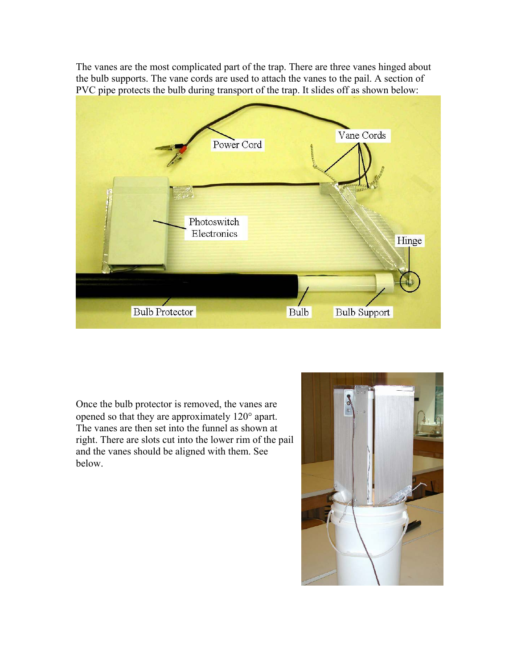The vanes are the most complicated part of the trap. There are three vanes hinged about the bulb supports. The vane cords are used to attach the vanes to the pail. A section of PVC pipe protects the bulb during transport of the trap. It slides off as shown below:



Once the bulb protector is removed, the vanes are opened so that they are approximately 120° apart. The vanes are then set into the funnel as shown at right. There are slots cut into the lower rim of the pail and the vanes should be aligned with them. See below.

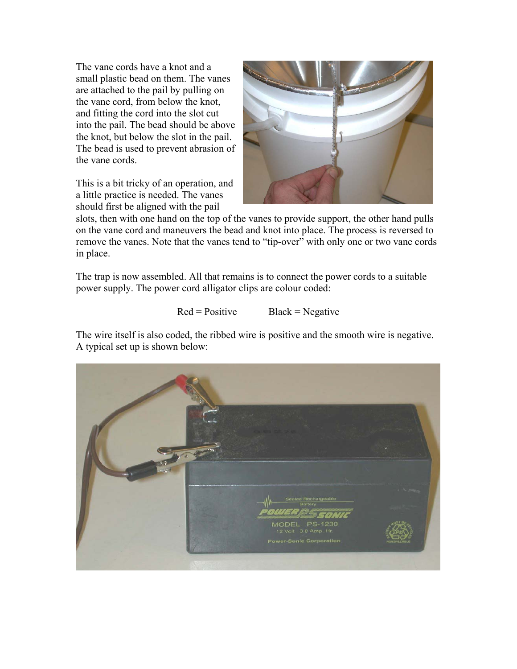The vane cords have a knot and a small plastic bead on them. The vanes are attached to the pail by pulling on the vane cord, from below the knot, and fitting the cord into the slot cut into the pail. The bead should be above the knot, but below the slot in the pail. The bead is used to prevent abrasion of the vane cords.

This is a bit tricky of an operation, and a little practice is needed. The vanes should first be aligned with the pail



slots, then with one hand on the top of the vanes to provide support, the other hand pulls on the vane cord and maneuvers the bead and knot into place. The process is reversed to remove the vanes. Note that the vanes tend to "tip-over" with only one or two vane cords in place.

The trap is now assembled. All that remains is to connect the power cords to a suitable power supply. The power cord alligator clips are colour coded:

#### $Red = Positive$  Black = Negative

The wire itself is also coded, the ribbed wire is positive and the smooth wire is negative. A typical set up is shown below:

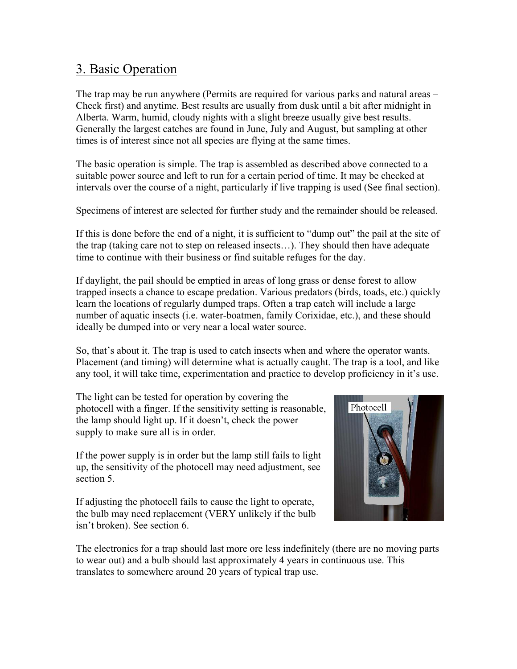#### 3. Basic Operation

The trap may be run anywhere (Permits are required for various parks and natural areas – Check first) and anytime. Best results are usually from dusk until a bit after midnight in Alberta. Warm, humid, cloudy nights with a slight breeze usually give best results. Generally the largest catches are found in June, July and August, but sampling at other times is of interest since not all species are flying at the same times.

The basic operation is simple. The trap is assembled as described above connected to a suitable power source and left to run for a certain period of time. It may be checked at intervals over the course of a night, particularly if live trapping is used (See final section).

Specimens of interest are selected for further study and the remainder should be released.

If this is done before the end of a night, it is sufficient to "dump out" the pail at the site of the trap (taking care not to step on released insects…). They should then have adequate time to continue with their business or find suitable refuges for the day.

If daylight, the pail should be emptied in areas of long grass or dense forest to allow trapped insects a chance to escape predation. Various predators (birds, toads, etc.) quickly learn the locations of regularly dumped traps. Often a trap catch will include a large number of aquatic insects (i.e. water-boatmen, family Corixidae, etc.), and these should ideally be dumped into or very near a local water source.

So, that's about it. The trap is used to catch insects when and where the operator wants. Placement (and timing) will determine what is actually caught. The trap is a tool, and like any tool, it will take time, experimentation and practice to develop proficiency in it's use.

The light can be tested for operation by covering the photocell with a finger. If the sensitivity setting is reasonable, the lamp should light up. If it doesn't, check the power supply to make sure all is in order.

If the power supply is in order but the lamp still fails to light up, the sensitivity of the photocell may need adjustment, see section 5.

If adjusting the photocell fails to cause the light to operate, the bulb may need replacement (VERY unlikely if the bulb isn't broken). See section 6.



The electronics for a trap should last more ore less indefinitely (there are no moving parts to wear out) and a bulb should last approximately 4 years in continuous use. This translates to somewhere around 20 years of typical trap use.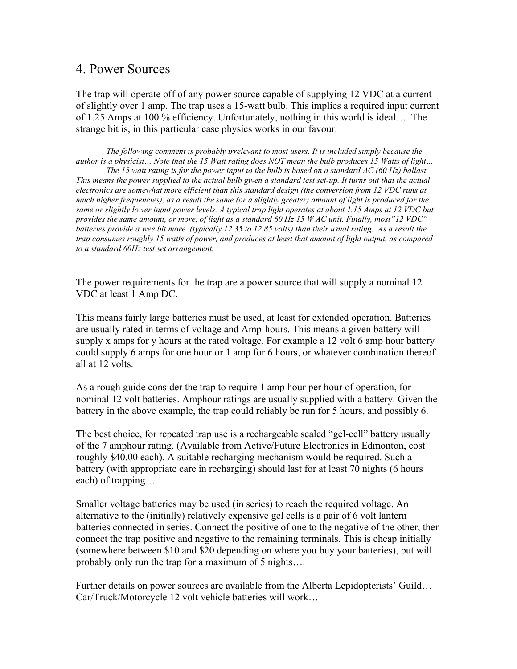#### 4. Power Sources

The trap will operate off of any power source capable of supplying 12 VDC at a current of slightly over 1 amp. The trap uses a 15-watt bulb. This implies a required input current of 1.25 Amps at 100 % efficiency. Unfortunately, nothing in this world is ideal… The strange bit is, in this particular case physics works in our favour.

*The following comment is probably irrelevant to most users. It is included simply because the author is a physicist… Note that the 15 Watt rating does NOT mean the bulb produces 15 Watts of light… The 15 watt rating is for the power input to the bulb is based on a standard AC (60 Hz) ballast. This means the power supplied to the actual bulb given a standard test set-up. It turns out that the actual electronics are somewhat more efficient than this standard design (the conversion from 12 VDC runs at much higher frequencies), as a result the same (or a slightly greater) amount of light is produced for the same or slightly lower input power levels. A typical trap light operates at about 1.15 Amps at 12 VDC but provides the same amount, or more, of light as a standard 60 Hz 15 W AC unit. Finally, most"12 VDC" batteries provide a wee bit more (typically 12.35 to 12.85 volts) than their usual rating. As a result the trap consumes roughly 15 watts of power, and produces at least that amount of light output, as compared to a standard 60Hz test set arrangement.* 

The power requirements for the trap are a power source that will supply a nominal 12 VDC at least 1 Amp DC.

This means fairly large batteries must be used, at least for extended operation. Batteries are usually rated in terms of voltage and Amp-hours. This means a given battery will supply x amps for y hours at the rated voltage. For example a 12 volt 6 amp hour battery could supply 6 amps for one hour or 1 amp for 6 hours, or whatever combination thereof all at 12 volts.

As a rough guide consider the trap to require 1 amp hour per hour of operation, for nominal 12 volt batteries. Amphour ratings are usually supplied with a battery. Given the battery in the above example, the trap could reliably be run for 5 hours, and possibly 6.

The best choice, for repeated trap use is a rechargeable sealed "gel-cell" battery usually of the 7 amphour rating. (Available from Active/Future Electronics in Edmonton, cost roughly \$40.00 each). A suitable recharging mechanism would be required. Such a battery (with appropriate care in recharging) should last for at least 70 nights (6 hours each) of trapping…

Smaller voltage batteries may be used (in series) to reach the required voltage. An alternative to the (initially) relatively expensive gel cells is a pair of 6 volt lantern batteries connected in series. Connect the positive of one to the negative of the other, then connect the trap positive and negative to the remaining terminals. This is cheap initially (somewhere between \$10 and \$20 depending on where you buy your batteries), but will probably only run the trap for a maximum of 5 nights….

Further details on power sources are available from the Alberta Lepidopterists' Guild… Car/Truck/Motorcycle 12 volt vehicle batteries will work…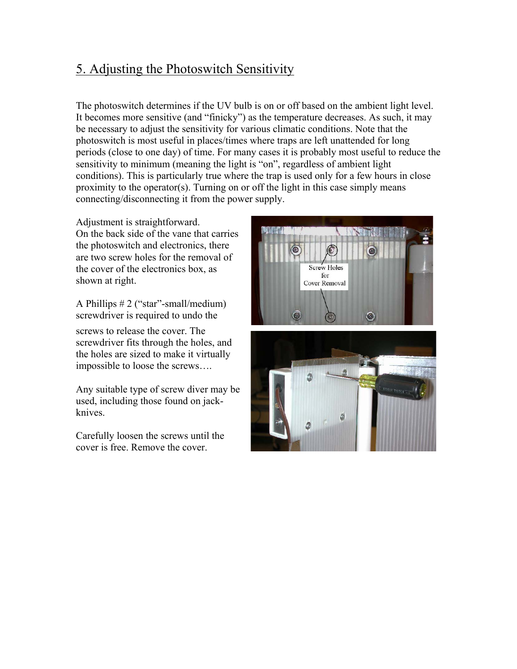### 5. Adjusting the Photoswitch Sensitivity

The photoswitch determines if the UV bulb is on or off based on the ambient light level. It becomes more sensitive (and "finicky") as the temperature decreases. As such, it may be necessary to adjust the sensitivity for various climatic conditions. Note that the photoswitch is most useful in places/times where traps are left unattended for long periods (close to one day) of time. For many cases it is probably most useful to reduce the sensitivity to minimum (meaning the light is "on", regardless of ambient light conditions). This is particularly true where the trap is used only for a few hours in close proximity to the operator(s). Turning on or off the light in this case simply means connecting/disconnecting it from the power supply.

Adjustment is straightforward. On the back side of the vane that carries the photoswitch and electronics, there are two screw holes for the removal of the cover of the electronics box, as shown at right.

A Phillips # 2 ("star"-small/medium) screwdriver is required to undo the

screws to release the cover. The screwdriver fits through the holes, and the holes are sized to make it virtually impossible to loose the screws….

Any suitable type of screw diver may be used, including those found on jackknives.

Carefully loosen the screws until the cover is free. Remove the cover.



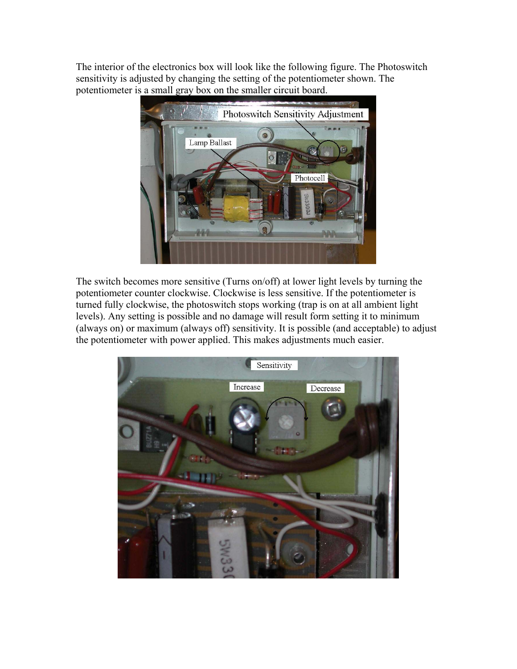The interior of the electronics box will look like the following figure. The Photoswitch sensitivity is adjusted by changing the setting of the potentiometer shown. The potentiometer is a small gray box on the smaller circuit board.



The switch becomes more sensitive (Turns on/off) at lower light levels by turning the potentiometer counter clockwise. Clockwise is less sensitive. If the potentiometer is turned fully clockwise, the photoswitch stops working (trap is on at all ambient light levels). Any setting is possible and no damage will result form setting it to minimum (always on) or maximum (always off) sensitivity. It is possible (and acceptable) to adjust the potentiometer with power applied. This makes adjustments much easier.

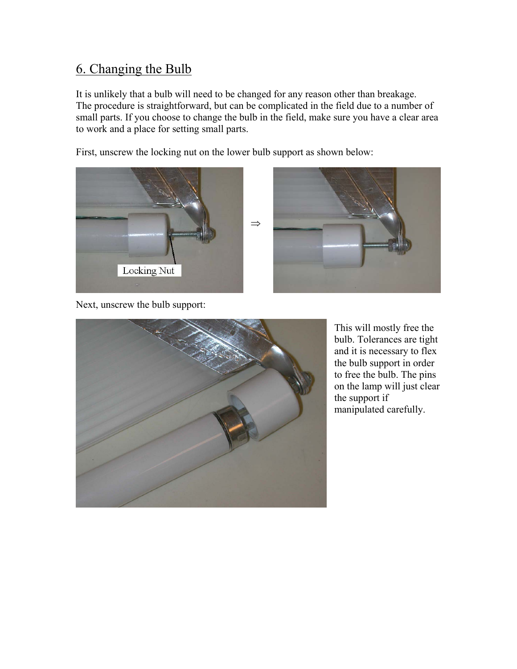#### 6. Changing the Bulb

It is unlikely that a bulb will need to be changed for any reason other than breakage. The procedure is straightforward, but can be complicated in the field due to a number of small parts. If you choose to change the bulb in the field, make sure you have a clear area to work and a place for setting small parts.

First, unscrew the locking nut on the lower bulb support as shown below:





Next, unscrew the bulb support:



This will mostly free the bulb. Tolerances are tight and it is necessary to flex the bulb support in order to free the bulb. The pins on the lamp will just clear the support if manipulated carefully.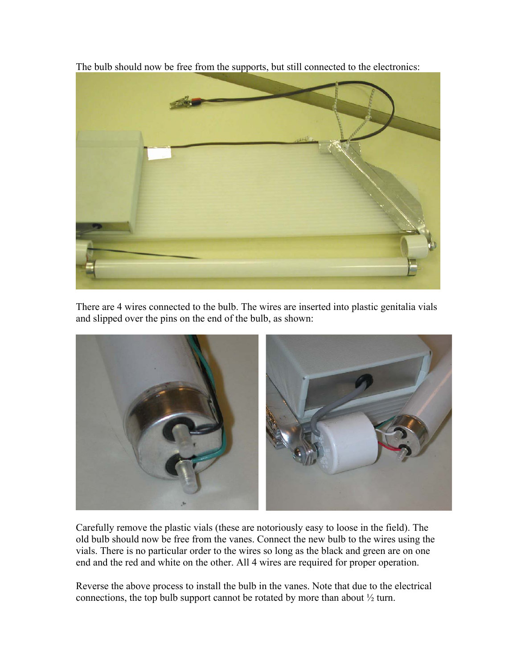

The bulb should now be free from the supports, but still connected to the electronics:

There are 4 wires connected to the bulb. The wires are inserted into plastic genitalia vials and slipped over the pins on the end of the bulb, as shown:



Carefully remove the plastic vials (these are notoriously easy to loose in the field). The old bulb should now be free from the vanes. Connect the new bulb to the wires using the vials. There is no particular order to the wires so long as the black and green are on one end and the red and white on the other. All 4 wires are required for proper operation.

Reverse the above process to install the bulb in the vanes. Note that due to the electrical connections, the top bulb support cannot be rotated by more than about ½ turn.